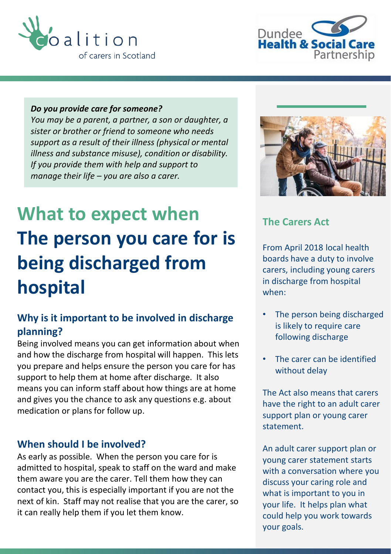



#### *Do you provide care for someone?*

*You may be a parent, a partner, a son or daughter, a sister or brother or friend to someone who needs support as a result of their illness (physical or mental illness and substance misuse), condition or disability. If you provide them with help and support to manage their life – you are also a carer.*

# **What to expect when The person you care for is being discharged from hospital**

### **Why is it important to be involved in discharge planning?**

Being involved means you can get information about when and how the discharge from hospital will happen. This lets you prepare and helps ensure the person you care for has support to help them at home after discharge. It also means you can inform staff about how things are at home and gives you the chance to ask any questions e.g. about medication or plans for follow up.

#### **When should I be involved?**

As early as possible. When the person you care for is admitted to hospital, speak to staff on the ward and make them aware you are the carer. Tell them how they can contact you, this is especially important if you are not the next of kin. Staff may not realise that you are the carer, so it can really help them if you let them know.



#### **The Carers Act**

From April 2018 local health boards have a duty to involve carers, including young carers in discharge from hospital when:

- The person being discharged is likely to require care following discharge
- The carer can be identified without delay

The Act also means that carers have the right to an adult carer support plan or young carer statement.

An adult carer support plan or young carer statement starts with a conversation where you discuss your caring role and what is important to you in your life. It helps plan what could help you work towards your goals.